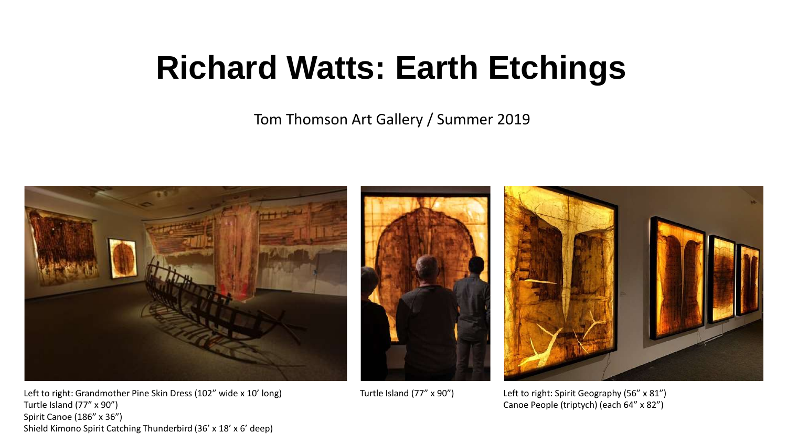## **Richard Watts: Earth Etchings**

Tom Thomson Art Gallery / Summer 2019



Left to right: Grandmother Pine Skin Dress (102" wide x 10' long) Turtle Island (77" x 90") Spirit Canoe (186" x 36") Shield Kimono Spirit Catching Thunderbird (36' x 18' x 6' deep)





Turtle Island (77" x 90") Left to right: Spirit Geography (56" x 81") Canoe People (triptych) (each 64" x 82")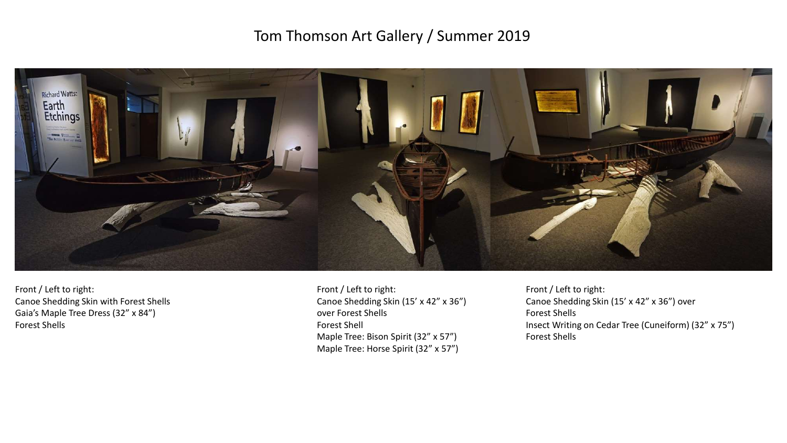## Tom Thomson Art Gallery / Summer 2019



Front / Left to right: Canoe Shedding Skin with Forest Shells Gaia's Maple Tree Dress (32" x 84") Forest Shells

Front / Left to right: Canoe Shedding Skin (15' x 42" x 36") over Forest Shells Forest Shell Maple Tree: Bison Spirit (32" x 57") Maple Tree: Horse Spirit (32" x 57")

Front / Left to right: Canoe Shedding Skin (15' x 42" x 36") over Forest Shells Insect Writing on Cedar Tree (Cuneiform) (32" x 75") Forest Shells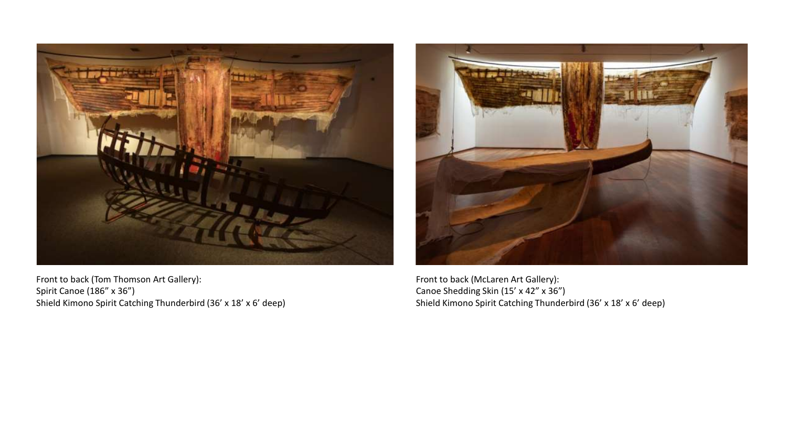

Front to back (Tom Thomson Art Gallery): Spirit Canoe (186" x 36") Shield Kimono Spirit Catching Thunderbird (36' x 18' x 6' deep)



Front to back (McLaren Art Gallery): Canoe Shedding Skin (15' x 42" x 36") Shield Kimono Spirit Catching Thunderbird (36' x 18' x 6' deep)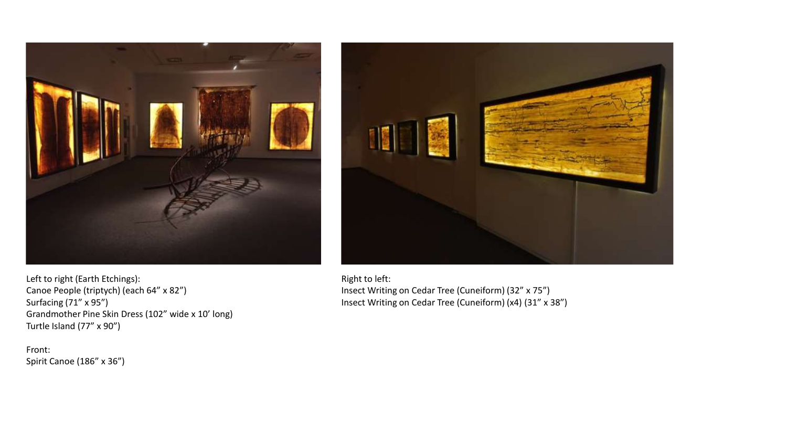



Left to right (Earth Etchings): Canoe People (triptych) (each 64" x 82") Surfacing (71" x 95") Grandmother Pine Skin Dress (102" wide x 10' long) Turtle Island (77" x 90")

Front: Spirit Canoe (186" x 36") Right to left: Insect Writing on Cedar Tree (Cuneiform) (32" x 75") Insect Writing on Cedar Tree (Cuneiform) (x4) (31" x 38")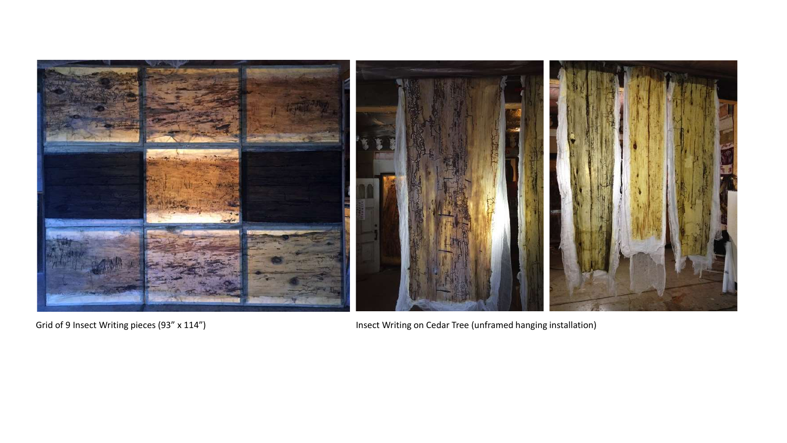

Grid of 9 Insect Writing pieces (93" x 114") **Insect Writing on Cedar Tree (unframed hanging installation**)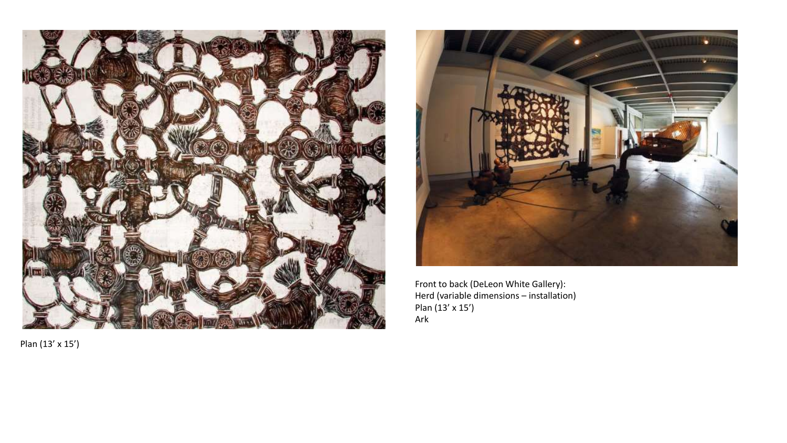



Front to back (DeLeon White Gallery): Herd (variable dimensions – installation) Plan (13' x 15') Ark

Plan (13' x 15')